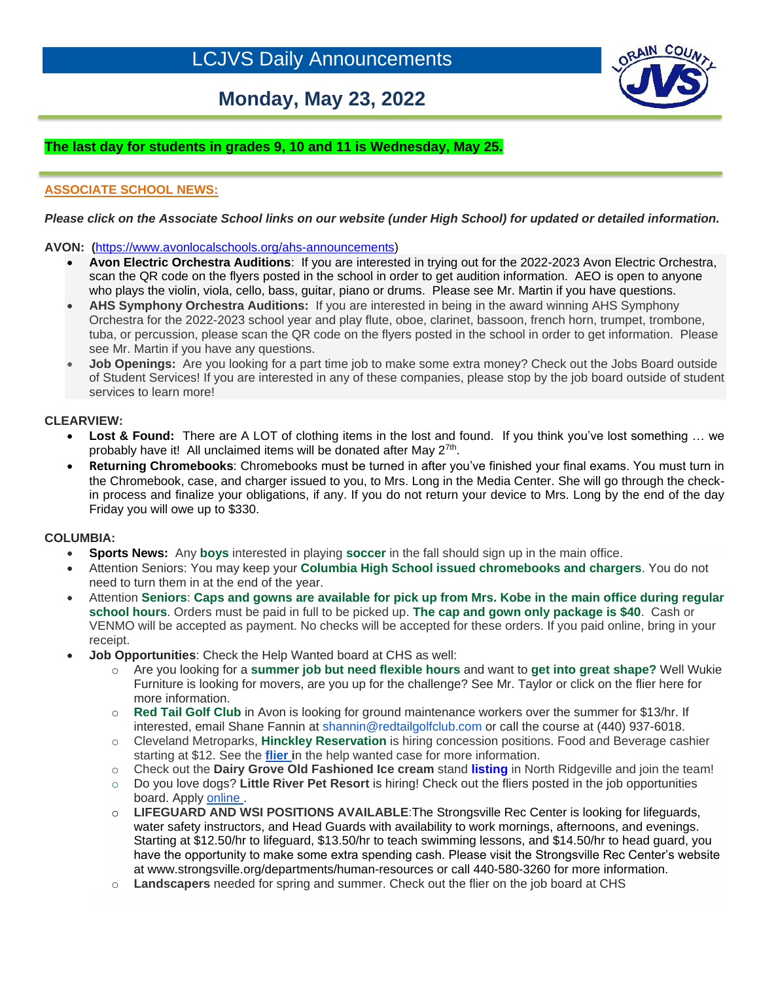# **Monday, May 23, 2022**



## **The last day for students in grades 9, 10 and 11 is Wednesday, May 25.**

### **ASSOCIATE SCHOOL NEWS:**

#### *Please click on the Associate School links on our website (under High School) for updated or detailed information.*

**AVON: (**[https://www.avonlocalschools.org/ahs-announcements\)](https://us-west-2.protection.sophos.com/?d=avonlocalschools.org&u=aHR0cHM6Ly93d3cuYXZvbmxvY2Fsc2Nob29scy5vcmcvYWhzLWFubm91bmNlbWVudHM=&i=NWZlZDBjMWEzZDZjMTkwZjdmZjliYWI3&t=ZGhzLzgrUGp6eXV2N3FKeXVKc0ROZi9kVGlYTllua2lyZUlqdkQwWS93az0=&h=6a27396ae14445cca746976f0a5f2409)

- **Avon Electric Orchestra Auditions**: If you are interested in trying out for the 2022-2023 Avon Electric Orchestra, scan the QR code on the flyers posted in the school in order to get audition information. AEO is open to anyone who plays the violin, viola, cello, bass, guitar, piano or drums. Please see Mr. Martin if you have questions.
- **AHS Symphony Orchestra Auditions:** If you are interested in being in the award winning AHS Symphony Orchestra for the 2022-2023 school year and play flute, oboe, clarinet, bassoon, french horn, trumpet, trombone, tuba, or percussion, please scan the QR code on the flyers posted in the school in order to get information. Please see Mr. Martin if you have any questions.
- **Job Openings:** Are you looking for a part time job to make some extra money? Check out the Jobs Board outside of Student Services! If you are interested in any of these companies, please stop by the job board outside of student services to learn more!

#### **CLEARVIEW:**

ł

- Lost & Found: There are A LOT of clothing items in the lost and found. If you think you've lost something ... we probably have it! All unclaimed items will be donated after May 2<sup>7th</sup>.
- **Returning Chromebooks**: Chromebooks must be turned in after you've finished your final exams. You must turn in the Chromebook, case, and charger issued to you, to Mrs. Long in the Media Center. She will go through the checkin process and finalize your obligations, if any. If you do not return your device to Mrs. Long by the end of the day Friday you will owe up to \$330.

#### **COLUMBIA:**

- **Sports News:** Any boys interested in playing soccer in the fall should sign up in the main office.
- Attention Seniors: You may keep your **Columbia High School issued chromebooks and chargers**. You do not need to turn them in at the end of the year.
- Attention **Seniors**: **Caps and gowns are available for pick up from Mrs. Kobe in the main office during regular school hours**. Orders must be paid in full to be picked up. **The cap and gown only package is \$40**. Cash or VENMO will be accepted as payment. No checks will be accepted for these orders. If you paid online, bring in your receipt.
- **Job Opportunities**: Check the Help Wanted board at CHS as well:
	- o Are you looking for a **summer job but need flexible hours** and want to **get into great shape?** Well Wukie Furniture is looking for movers, are you up for the challenge? See Mr. Taylor or click on the flier here for more information.
	- o **Red Tail Golf Club** in Avon is looking for ground maintenance workers over the summer for \$13/hr. If interested, email Shane Fannin at shannin@redtailgolfclub.com or call the course at (440) 937-6018.
	- o Cleveland Metroparks, **Hinckley Reservation** is hiring concession positions. Food and Beverage cashier starting at \$12. See the **[flier i](https://filecabinet5.eschoolview.com/D35B9DE7-C111-4B09-B3AE-29A841675B7F/hinckleyhiring.pdf)**n the help wanted case for more information.
	- o Check out the **Dairy Grove Old Fashioned Ice cream** stand **[listing](https://filecabinet5.eschoolview.com/D35B9DE7-C111-4B09-B3AE-29A841675B7F/DairyGroveflier.pdf)** in North Ridgeville and join the team!
	- o Do you love dogs? **Little River Pet Resort** is hiring! Check out the fliers posted in the job opportunities board. Apply [online .](http://www.littleriverpetresort.com/application/)
	- o **LIFEGUARD AND WSI POSITIONS AVAILABLE**:The Strongsville Rec Center is looking for lifeguards, water safety instructors, and Head Guards with availability to work mornings, afternoons, and evenings. Starting at \$12.50/hr to lifeguard, \$13.50/hr to teach swimming lessons, and \$14.50/hr to head guard, you have the opportunity to make some extra spending cash. Please visit the Strongsville Rec Center's website at [www.strongsville.org/departments/human-resources](http://www.strongsville.org/departments/human-resources) or call 440-580-3260 for more information.
	- o **Landscapers** needed for spring and summer. Check out the flier on the job board at CHS